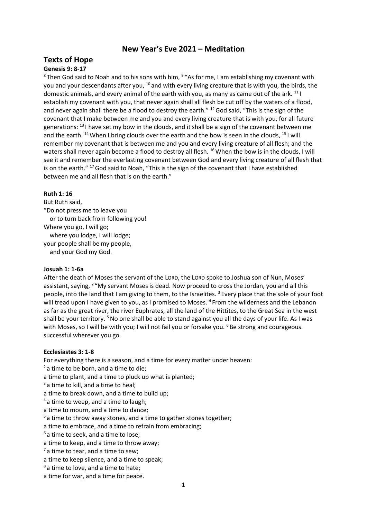# **New Year's Eve 2021 – Meditation**

# **Texts of Hope**

# **Genesis 9: 8-17**

 ${}^{8}$ Then God said to Noah and to his sons with him,  ${}^{9}$  "As for me, I am establishing my covenant with you and your descendants after you, <sup>10</sup> and with every living creature that is with you, the birds, the domestic animals, and every animal of the earth with you, as many as came out of the ark.  $^{11}$  I establish my covenant with you, that never again shall all flesh be cut off by the waters of a flood, and never again shall there be a flood to destroy the earth." <sup>12</sup> God said, "This is the sign of the covenant that I make between me and you and every living creature that is with you, for all future generations:  $^{13}$  I have set my bow in the clouds, and it shall be a sign of the covenant between me and the earth.  $^{14}$  When I bring clouds over the earth and the bow is seen in the clouds,  $^{15}$  I will remember my covenant that is between me and you and every living creature of all flesh; and the waters shall never again become a flood to destroy all flesh. <sup>16</sup> When the bow is in the clouds, I will see it and remember the everlasting covenant between God and every living creature of all flesh that is on the earth." <sup>17</sup> God said to Noah, "This is the sign of the covenant that I have established between me and all flesh that is on the earth."

# **Ruth 1: 16**

But Ruth said, "Do not press me to leave you or to turn back from following you! Where you go, I will go; where you lodge, I will lodge; your people shall be my people, and your God my God.

## **Josuah 1: 1-6a**

After the death of Moses the servant of the LORD, the LORD spoke to Joshua son of Nun, Moses' assistant, saying, <sup>2</sup> "My servant Moses is dead. Now proceed to cross the Jordan, you and all this people, into the land that I am giving to them, to the Israelites.  $3$  Every place that the sole of your foot will tread upon I have given to you, as I promised to Moses. <sup>4</sup> From the wilderness and the Lebanon as far as the great river, the river Euphrates, all the land of the Hittites, to the Great Sea in the west shall be your territory. <sup>5</sup> No one shall be able to stand against you all the days of your life. As I was with Moses, so I will be with you; I will not fail you or forsake you. <sup>6</sup> Be strong and courageous. successful wherever you go.

## **Ecclesiastes 3: 1-8**

For everything there is a season, and a time for every matter under heaven:

- $2a$  time to be born, and a time to die;
- a time to plant, and a time to pluck up what is planted;
- $3$  a time to kill, and a time to heal;
- a time to break down, and a time to build up;
- <sup>4</sup> a time to weep, and a time to laugh;
- a time to mourn, and a time to dance;
- $5a$  time to throw away stones, and a time to gather stones together;

a time to embrace, and a time to refrain from embracing;

- $6a$  time to seek, and a time to lose;
- a time to keep, and a time to throw away;
- $<sup>7</sup>$  a time to tear, and a time to sew:</sup>
- a time to keep silence, and a time to speak;
- <sup>8</sup> a time to love, and a time to hate;
- a time for war, and a time for peace.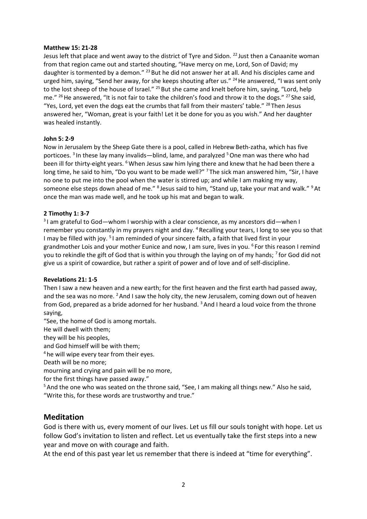#### **Matthew 15: 21-28**

Jesus left that place and went away to the district of Tyre and Sidon. <sup>22</sup> Just then a Canaanite woman from that region came out and started shouting, "Have mercy on me, Lord, Son of David; my daughter is tormented by a demon." <sup>23</sup> But he did not answer her at all. And his disciples came and urged him, saying, "Send her away, for she keeps shouting after us."  $^{24}$  He answered, "I was sent only to the lost sheep of the house of Israel." <sup>25</sup> But she came and knelt before him, saying, "Lord, help me." <sup>26</sup> He answered, "It is not fair to take the children's food and throw it to the dogs." <sup>27</sup> She said, "Yes, Lord, yet even the dogs eat the crumbs that fall from their masters' table." <sup>28</sup> Then Jesus answered her, "Woman, great is your faith! Let it be done for you as you wish." And her daughter was healed instantly.

## **John 5: 2-9**

Now in Jerusalem by the Sheep Gate there is a pool, called in Hebrew Beth-zatha, which has five porticoes. <sup>3</sup> In these lay many invalids—blind, lame, and paralyzed <sup>5</sup> One man was there who had been ill for thirty-eight years. <sup>6</sup> When Jesus saw him lying there and knew that he had been there a long time, he said to him, "Do you want to be made well?" <sup>7</sup> The sick man answered him, "Sir, I have no one to put me into the pool when the water is stirred up; and while I am making my way, someone else steps down ahead of me." <sup>8</sup> Jesus said to him, "Stand up, take your mat and walk." <sup>9</sup> At once the man was made well, and he took up his mat and began to walk.

## **2 Timothy 1: 3-7**

<sup>3</sup>I am grateful to God—whom I worship with a clear conscience, as my ancestors did—when I remember you constantly in my prayers night and day.  $4$  Recalling your tears, I long to see you so that I may be filled with joy. <sup>5</sup> I am reminded of your sincere faith, a faith that lived first in your grandmother Lois and your mother Eunice and now, I am sure, lives in you. <sup>6</sup> For this reason I remind you to rekindle the gift of God that is within you through the laying on of my hands;  $^7$  for God did not give us a spirit of cowardice, but rather a spirit of power and of love and of self-discipline.

## **Revelations 21: 1-5**

Then I saw a new heaven and a new earth; for the first heaven and the first earth had passed away, and the sea was no more. <sup>2</sup> And I saw the holy city, the new Jerusalem, coming down out of heaven from God, prepared as a bride adorned for her husband. <sup>3</sup>And I heard a loud voice from the throne saying,

"See, the home of God is among mortals.

He will dwell with them;

they will be his peoples,

and God himself will be with them;

<sup>4</sup> he will wipe every tear from their eyes.

Death will be no more;

mourning and crying and pain will be no more,

for the first things have passed away."

<sup>5</sup> And the one who was seated on the throne said, "See, I am making all things new." Also he said, "Write this, for these words are trustworthy and true."

# **Meditation**

God is there with us, every moment of our lives. Let us fill our souls tonight with hope. Let us follow God's invitation to listen and reflect. Let us eventually take the first steps into a new year and move on with courage and faith.

At the end of this past year let us remember that there is indeed at "time for everything".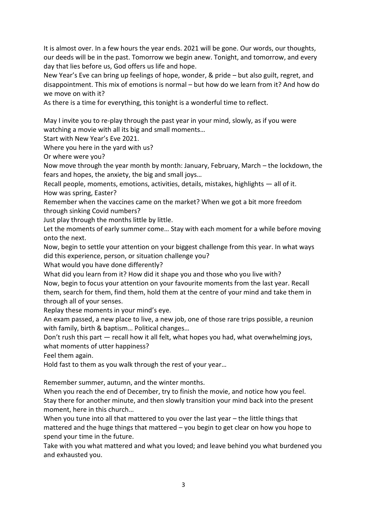It is almost over. In a few hours the year ends. 2021 will be gone. Our words, our thoughts, our deeds will be in the past. Tomorrow we begin anew. Tonight, and tomorrow, and every day that lies before us, God offers us life and hope.

New Year's Eve can bring up feelings of hope, wonder, & pride – but also guilt, regret, and disappointment. This mix of emotions is normal – but how do we learn from it? And how do we move on with it?

As there is a time for everything, this tonight is a wonderful time to reflect.

May I invite you to re-play through the past year in your mind, slowly, as if you were watching a movie with all its big and small moments…

Start with New Year's Eve 2021.

Where you here in the yard with us?

Or where were you?

Now move through the year month by month: January, February, March – the lockdown, the fears and hopes, the anxiety, the big and small joys…

Recall people, moments, emotions, activities, details, mistakes, highlights — all of it. How was spring, Easter?

Remember when the vaccines came on the market? When we got a bit more freedom through sinking Covid numbers?

Just play through the months little by little.

Let the moments of early summer come… Stay with each moment for a while before moving onto the next.

Now, begin to settle your attention on your biggest challenge from this year. In what ways did this experience, person, or situation challenge you?

What would you have done differently?

What did you learn from it? How did it shape you and those who you live with?

Now, begin to focus your attention on your favourite moments from the last year. Recall them, search for them, find them, hold them at the centre of your mind and take them in through all of your senses.

Replay these moments in your mind's eye.

An exam passed, a new place to live, a new job, one of those rare trips possible, a reunion with family, birth & baptism… Political changes…

Don't rush this part — recall how it all felt, what hopes you had, what overwhelming joys, what moments of utter happiness?

Feel them again.

Hold fast to them as you walk through the rest of your year…

Remember summer, autumn, and the winter months.

When you reach the end of December, try to finish the movie, and notice how you feel. Stay there for another minute, and then slowly transition your mind back into the present moment, here in this church…

When you tune into all that mattered to you over the last year – the little things that mattered and the huge things that mattered – you begin to get clear on how you hope to spend your time in the future.

Take with you what mattered and what you loved; and leave behind you what burdened you and exhausted you.